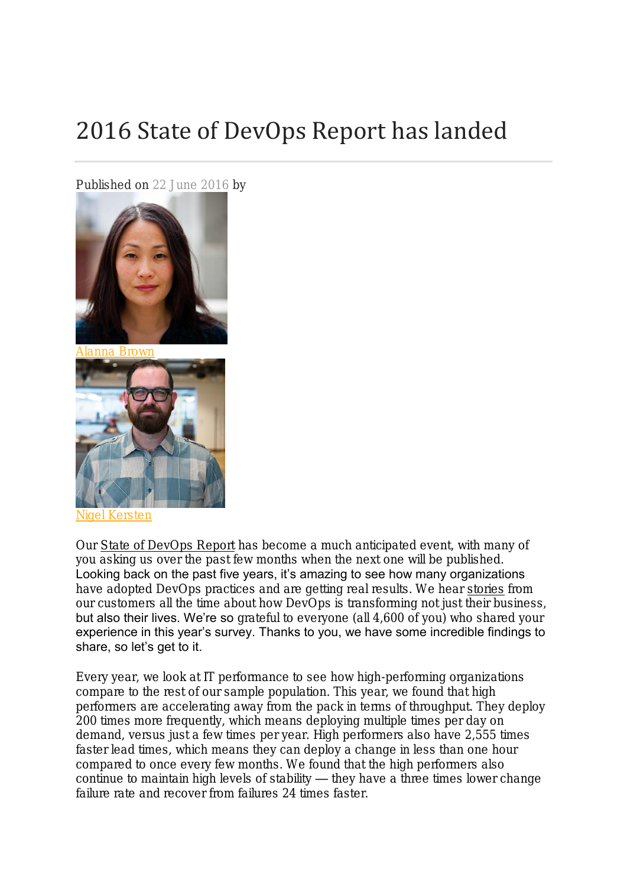# 2016 State of DevOps Report has landed

Published on 22 June 2016 by



[Alanna Brown](https://puppet.com/blog/author/alanna-brown)



[Nigel Kersten](https://puppet.com/blog/author/nigel-kersten)

Our [State of DevOps Report](https://puppet.com/resources/white-paper/2016-state-of-devops-report) has become a much anticipated event, with many of you asking us over the past few months when the next one will be published. Looking back on the past five years, it's amazing to see how many organizations have adopted DevOps practices and are getting real results. We hear [stories](https://puppet.com/resources?topics%5B1076%5D=1076&types%5Bfv_case-study%5D=fv_case-study) from our customers all the time about how DevOps is transforming not just their business, but also their lives. We're so grateful to everyone (all 4,600 of you) who shared your experience in this year's survey. Thanks to you, we have some incredible findings to share, so let's get to it.

Every year, we look at IT performance to see how high-performing organizations compare to the rest of our sample population. This year, we found that high performers are accelerating away from the pack in terms of throughput. They deploy 200 times more frequently, which means deploying multiple times per day on demand, versus just a few times per year. High performers also have 2,555 times faster lead times, which means they can deploy a change in less than one hour compared to once every few months. We found that the high performers also continue to maintain high levels of stability — they have a three times lower change failure rate and recover from failures 24 times faster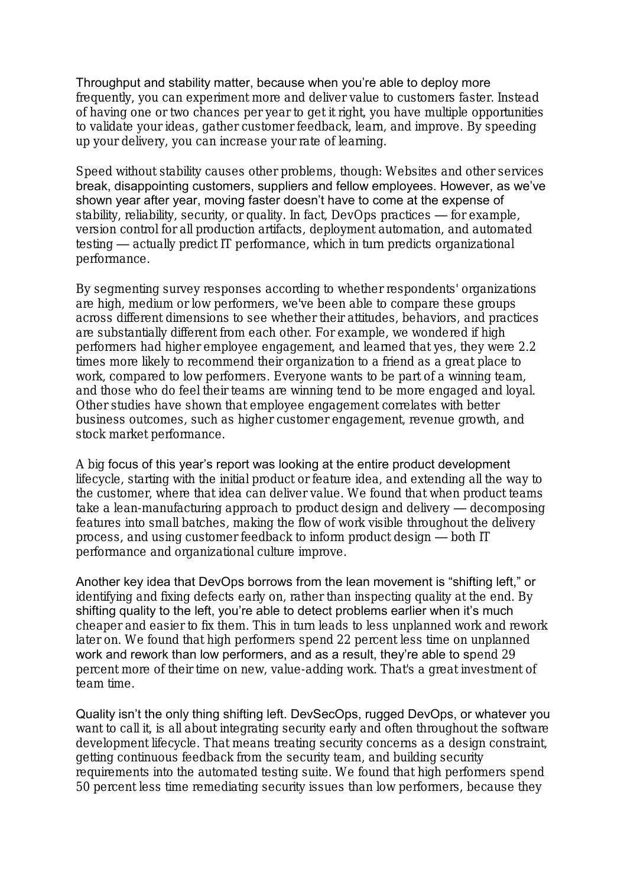#### Throughput and stability matter, because when you're able to deploy more

frequently, you can experiment more and deliver value to customers faster. Instead of having one or two chances per year to get it right, you have multiple opportunities to validate your ideas, gather customer feedback, learn, and improve. By speeding up your delivery, you can increase your rate of learning.

Speed without stability causes other problems, though: Websites and other services break, disappointing customers, suppliers and fellow employees. However, as we've shown year after year, moving faster doesn't have to come at the expense of stability, reliability, security, or quality. In fact, DevOps practices — for example, version control for all production artifacts, deployment automation, and automated testing — actually predict IT performance, which in turn predicts organizational performance.

By segmenting survey responses according to whether respondents' organizations are high, medium or low performers, we've been able to compare these groups across different dimensions to see whether their attitudes, behaviors, and practices are substantially different from each other. For example, we wondered if high performers had higher employee engagement, and learned that yes, they were 2.2 times more likely to recommend their organization to a friend as a great place to work, compared to low performers. Everyone wants to be part of a winning team, and those who do feel their teams are winning tend to be more engaged and loyal. Other studies have shown that employee engagement correlates with better business outcomes, such as higher customer engagement, revenue growth, and stock market performance.

A big focus of this year's report was looking at the entire product development lifecycle, starting with the initial product or feature idea, and extending all the way to the customer, where that idea can deliver value. We found that when product teams take a lean-manufacturing approach to product design and delivery — decomposing features into small batches, making the flow of work visible throughout the delivery process, and using customer feedback to inform product design — both IT performance and organizational culture improve.

Another key idea that DevOps borrows from the lean movement is "shifting left," or identifying and fixing defects early on, rather than inspecting quality at the end. By shifting quality to the left, you're able to detect problems earlier when it's much cheaper and easier to fix them. This in turn leads to less unplanned work and rework later on. We found that high performers spend 22 percent less time on unplanned work and rework than low performers, and as a result, they're able to spend 29 percent more of their time on new, value-adding work. That's a great investment of team time.

Quality isn't the only thing shifting left. DevSecOps, rugged DevOps, or whatever you want to call it, is all about integrating security early and often throughout the software development lifecycle. That means treating security concerns as a design constraint, getting continuous feedback from the security team, and building security requirements into the automated testing suite. We found that high performers spend 50 percent less time remediating security issues than low performers, because they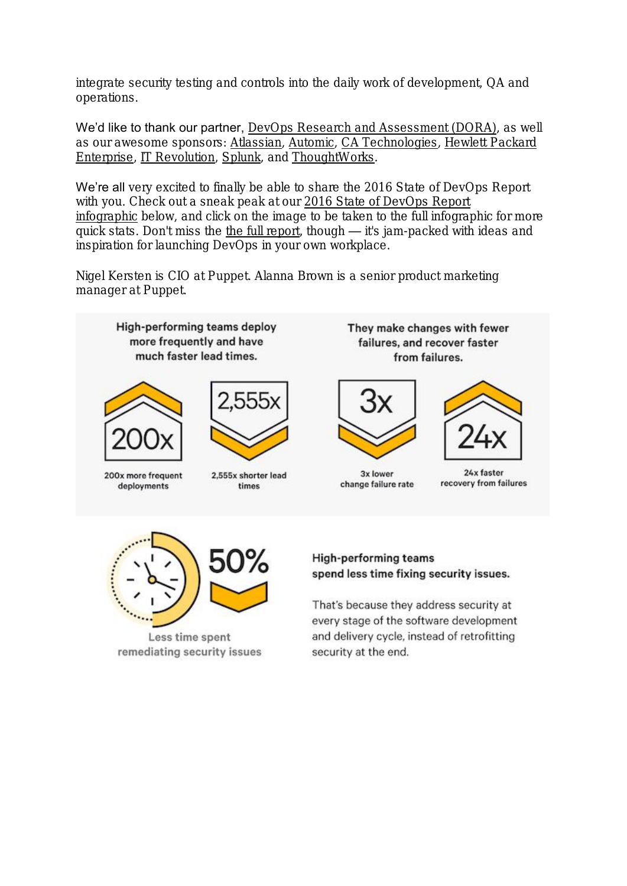integrate security testing and controls into the daily work of development, QA and operations.

We'd like to thank our partner, [DevOps Research and Assessment \(DORA\),](https://devops-research.com/) as well as our awesome sponsors: [Atlassian,](https://www.atlassian.com/) [Automic,](http://automic.com/) [CA Technologies,](http://www.ca.com/us.html) [Hewlett Packard](https://www.hpe.com/us/en/home.html)  [Enterprise,](https://www.hpe.com/us/en/home.html) [IT Revolution,](http://itrevolution.com/) [Splunk,](http://www.splunk.com/) and [ThoughtWorks.](https://www.thoughtworks.com/)

We're all very excited to finally be able to share the 2016 State of DevOps Report with you. Check out a sneak peak at our [2016 State of DevOps Report](https://puppet.com/resources/infographic/2016-state-of-devops-report-infographic)  [infographic](https://puppet.com/resources/infographic/2016-state-of-devops-report-infographic) below, and click on the image to be taken to the full infographic for more quick stats. Don't miss the [the full report,](https://puppet.com/resources/white-paper/2016-state-of-devops-report) though — it's jam-packed with ideas and inspiration for launching DevOps in your own workplace.

Nigel Kersten is CIO at Puppet. Alanna Brown is a senior product marketing manager at Puppet.



Less time spent

remediating security issues

spend less time fixing security issues.

That's because they address security at every stage of the software development and delivery cycle, instead of retrofitting security at the end.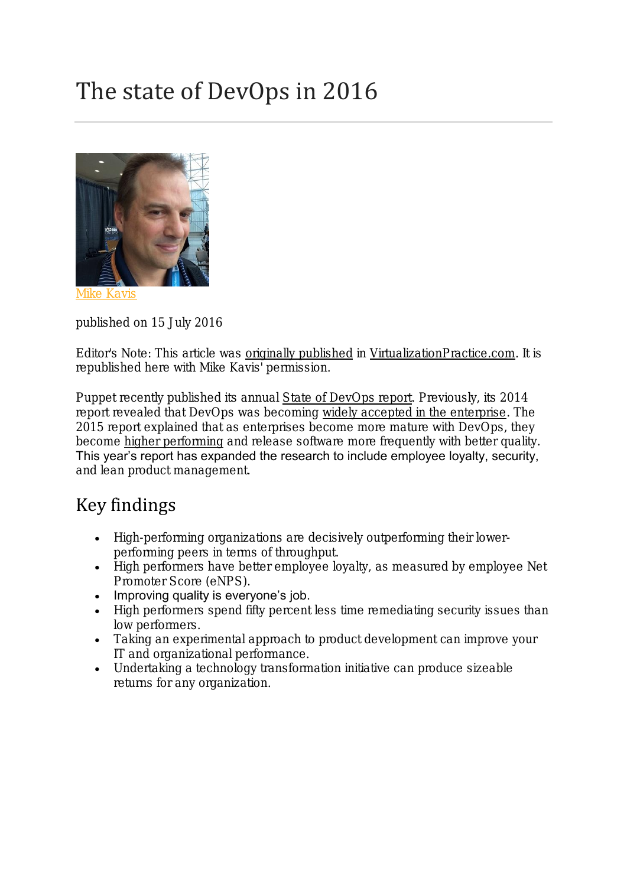# The state of DevOps in 2016



**[Mike Kavis](https://puppet.com/blog/author/mike-kavis)** 

published on 15 July 2016

Editor's Note: This article was [originally published](https://www.virtualizationpractice.com/state-devops-2016-37780/) in [VirtualizationPractice.com.](https://www.virtualizationpractice.com/) It is republished here with Mike Kavis' permission.

Puppet recently published its annual [State of DevOps report.](https://puppet.com/resources/white-paper/2016-state-of-devops-report) Previously, its 2014 report revealed that DevOps was becoming [widely accepted in the enterprise.](http://www.forbes.com/sites/mikekavis/2014/06/05/the-results-are-in-enterprise-devops-is-real/#61c48b0a51a5) The 2015 report explained that as enterprises become more mature with DevOps, they become [higher performing](https://www.virtualizationpractice.com/the-state-of-devops-33751/) and release software more frequently with better quality. This year's report has expanded the research to include employee loyalty, security, and lean product management.

#### Key findings

- High-performing organizations are decisively outperforming their lowerperforming peers in terms of throughput.
- High performers have better employee loyalty, as measured by employee Net Promoter Score (eNPS).
- Improving quality is everyone's job.
- High performers spend fifty percent less time remediating security issues than low performers.
- Taking an experimental approach to product development can improve your IT and organizational performance.
- Undertaking a technology transformation initiative can produce sizeable returns for any organization.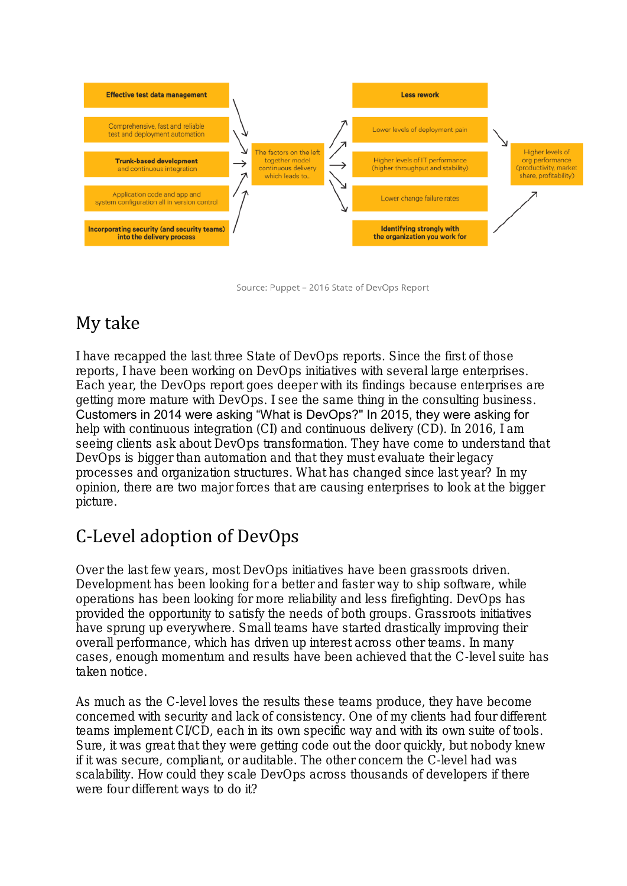

Source: Puppet - 2016 State of DevOps Report

## My take

I have recapped the last three State of DevOps reports. Since the first of those reports, I have been working on DevOps initiatives with several large enterprises. Each year, the DevOps report goes deeper with its findings because enterprises are getting more mature with DevOps. I see the same thing in the consulting business. Customers in 2014 were asking "What is DevOps?" In 2015, they were asking for help with continuous integration (CI) and continuous delivery (CD). In 2016, I am seeing clients ask about DevOps transformation. They have come to understand that DevOps is bigger than automation and that they must evaluate their legacy processes and organization structures. What has changed since last year? In my opinion, there are two major forces that are causing enterprises to look at the bigger picture.

## C-Level adoption of DevOps

Over the last few years, most DevOps initiatives have been grassroots driven. Development has been looking for a better and faster way to ship software, while operations has been looking for more reliability and less firefighting. DevOps has provided the opportunity to satisfy the needs of both groups. Grassroots initiatives have sprung up everywhere. Small teams have started drastically improving their overall performance, which has driven up interest across other teams. In many cases, enough momentum and results have been achieved that the C-level suite has taken notice.

As much as the C-level loves the results these teams produce, they have become concerned with security and lack of consistency. One of my clients had four different teams implement CI/CD, each in its own specific way and with its own suite of tools. Sure, it was great that they were getting code out the door quickly, but nobody knew if it was secure, compliant, or auditable. The other concern the C-level had was scalability. How could they scale DevOps across thousands of developers if there were four different ways to do it?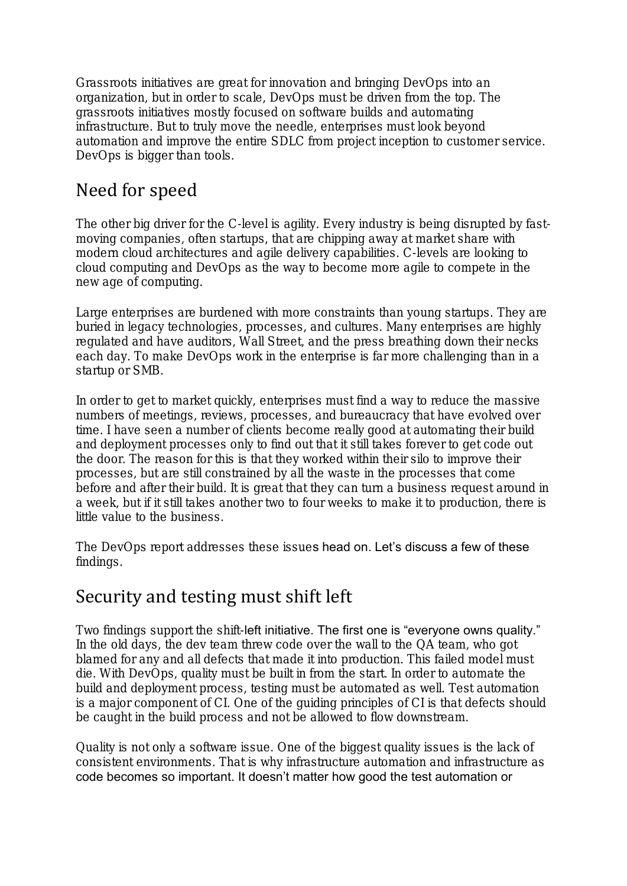Grassroots initiatives are great for innovation and bringing DevOps into an organization, but in order to scale, DevOps must be driven from the top. The grassroots initiatives mostly focused on software builds and automating infrastructure. But to truly move the needle, enterprises must look beyond automation and improve the entire SDLC from project inception to customer service. DevOps is bigger than tools.

#### Need for speed

The other big driver for the C-level is agility. Every industry is being disrupted by fastmoving companies, often startups, that are chipping away at market share with modern cloud architectures and agile delivery capabilities. C-levels are looking to cloud computing and DevOps as the way to become more agile to compete in the new age of computing.

Large enterprises are burdened with more constraints than young startups. They are buried in legacy technologies, processes, and cultures. Many enterprises are highly regulated and have auditors, Wall Street, and the press breathing down their necks each day. To make DevOps work in the enterprise is far more challenging than in a startup or SMB.

In order to get to market quickly, enterprises must find a way to reduce the massive numbers of meetings, reviews, processes, and bureaucracy that have evolved over time. I have seen a number of clients become really good at automating their build and deployment processes only to find out that it still takes forever to get code out the door. The reason for this is that they worked within their silo to improve their processes, but are still constrained by all the waste in the processes that come before and after their build. It is great that they can turn a business request around in a week, but if it still takes another two to four weeks to make it to production, there is little value to the business.

The DevOps report addresses these issues head on. Let's discuss a few of these findings.

#### Security and testing must shift left

Two findings support the shift-left initiative. The first one is "everyone owns quality." In the old days, the dev team threw code over the wall to the QA team, who got blamed for any and all defects that made it into production. This failed model must die. With DevOps, quality must be built in from the start. In order to automate the build and deployment process, testing must be automated as well. Test automation is a major component of CI. One of the guiding principles of CI is that defects should be caught in the build process and not be allowed to flow downstream.

Quality is not only a software issue. One of the biggest quality issues is the lack of consistent environments. That is why infrastructure automation and infrastructure as code becomes so important. It doesn't matter how good the test automation or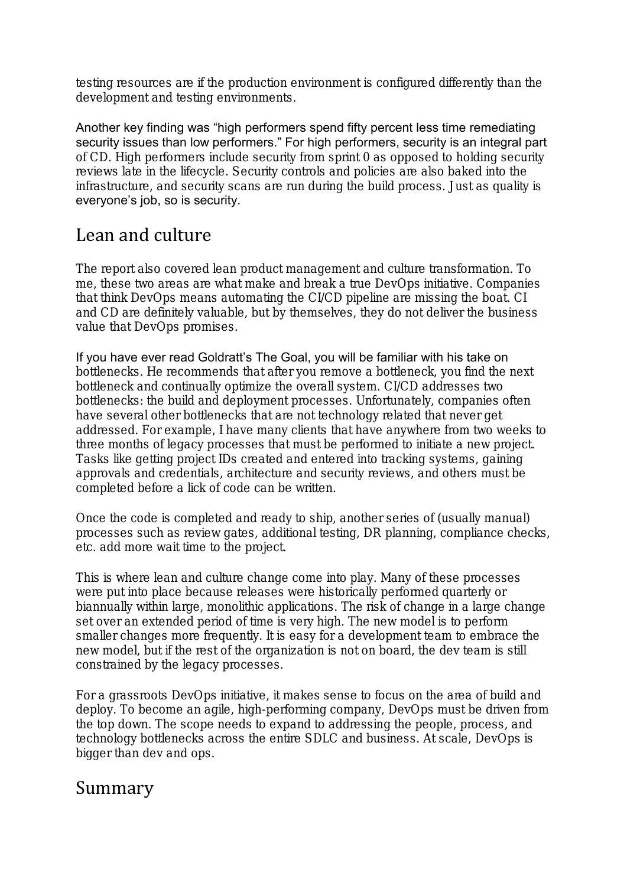testing resources are if the production environment is configured differently than the development and testing environments.

Another key finding was "high performers spend fifty percent less time remediating security issues than low performers." For high performers, security is an integral part of CD. High performers include security from sprint 0 as opposed to holding security reviews late in the lifecycle. Security controls and policies are also baked into the infrastructure, and security scans are run during the build process. Just as quality is everyone's job, so is security.

## Lean and culture

The report also covered lean product management and culture transformation. To me, these two areas are what make and break a true DevOps initiative. Companies that think DevOps means automating the CI/CD pipeline are missing the boat. CI and CD are definitely valuable, but by themselves, they do not deliver the business value that DevOps promises.

If you have ever read Goldratt's The Goal, you will be familiar with his take on bottlenecks. He recommends that after you remove a bottleneck, you find the next bottleneck and continually optimize the overall system. CI/CD addresses two bottlenecks: the build and deployment processes. Unfortunately, companies often have several other bottlenecks that are not technology related that never get addressed. For example, I have many clients that have anywhere from two weeks to three months of legacy processes that must be performed to initiate a new project. Tasks like getting project IDs created and entered into tracking systems, gaining approvals and credentials, architecture and security reviews, and others must be completed before a lick of code can be written.

Once the code is completed and ready to ship, another series of (usually manual) processes such as review gates, additional testing, DR planning, compliance checks, etc. add more wait time to the project.

This is where lean and culture change come into play. Many of these processes were put into place because releases were historically performed quarterly or biannually within large, monolithic applications. The risk of change in a large change set over an extended period of time is very high. The new model is to perform smaller changes more frequently. It is easy for a development team to embrace the new model, but if the rest of the organization is not on board, the dev team is still constrained by the legacy processes.

For a grassroots DevOps initiative, it makes sense to focus on the area of build and deploy. To become an agile, high-performing company, DevOps must be driven from the top down. The scope needs to expand to addressing the people, process, and technology bottlenecks across the entire SDLC and business. At scale, DevOps is bigger than dev and ops.

#### Summary